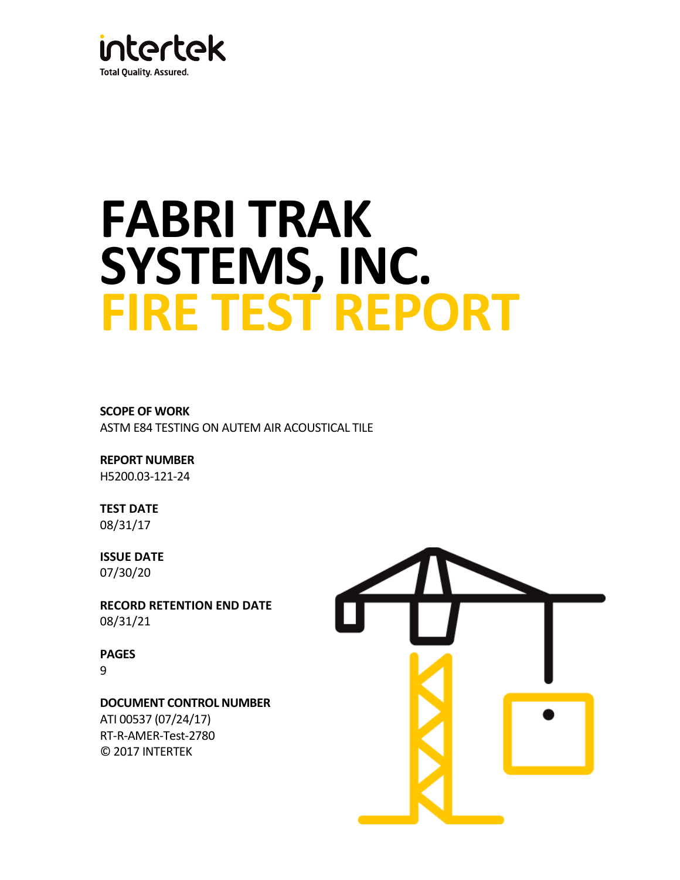

# **FABRI TRAK SYSTEMS, INC. FIRE TEST REPORT**

**SCOPE OF WORK** ASTM E84 TESTING ON AUTEM AIR ACOUSTICAL TILE

**REPORT NUMBER** H5200.03-121-24

**TEST DATE** 08/31/17

**ISSUE DATE** 07/30/20

**RECORD RETENTION END DATE** 08/31/21

**PAGES** 9

**DOCUMENT CONTROL NUMBER**

ATI 00537 (07/24/17) RT-R-AMER-Test-2780 © 2017 INTERTEK

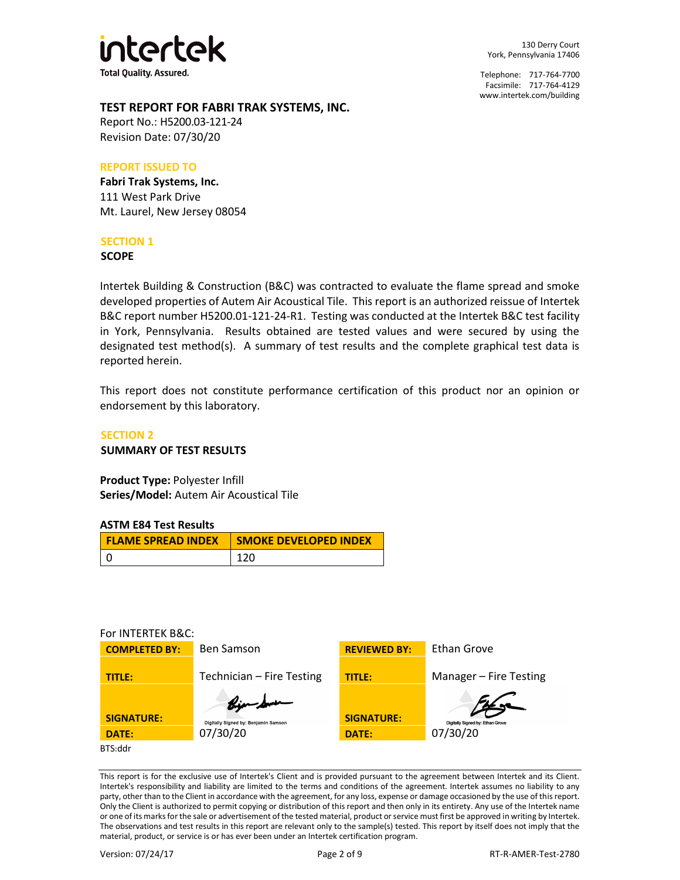

130 Derry Court York, Pennsylvania 17406

Telephone: 717-764-7700 Facsimile: 717-764-4129 [www.intertek.com/building](http://www.intertek.com/building)

# **TEST REPORT FOR FABRI TRAK SYSTEMS, INC.**

Report No.: H5200.03-121-24 Revision Date: 07/30/20

#### **REPORT ISSUED TO**

**Fabri Trak Systems, Inc.** 111 West Park Drive Mt. Laurel, New Jersey 08054

# **SECTION 1**

**SCOPE**

Intertek Building & Construction (B&C) was contracted to evaluate the flame spread and smoke developed properties of Autem Air Acoustical Tile. This report is an authorized reissue of Intertek B&C report number H5200.01-121-24-R1. Testing was conducted at the Intertek B&C test facility in York, Pennsylvania. Results obtained are tested values and were secured by using the designated test method(s). A summary of test results and the complete graphical test data is reported herein.

This report does not constitute performance certification of this product nor an opinion or endorsement by this laboratory.

# **SECTION 2 SUMMARY OF TEST RESULTS**

**Product Type:** Polyester Infill **Series/Model:** Autem Air Acoustical Tile

# **ASTM E84 Test Results**

| <b>FLAME SPREAD INDEX</b> | <b>SMOKE DEVELOPED INDEX</b> |
|---------------------------|------------------------------|
|                           | 120                          |

#### For INTERTEK B&C:



This report is for the exclusive use of Intertek's Client and is provided pursuant to the agreement between Intertek and its Client. Intertek's responsibility and liability are limited to the terms and conditions of the agreement. Intertek assumes no liability to any party, other than to the Client in accordance with the agreement, for any loss, expense or damage occasioned by the use of this report. Only the Client is authorized to permit copying or distribution of this report and then only in its entirety. Any use of the Intertek name or one of its marks for the sale or advertisement of the tested material, product or service must first be approved in writing by Intertek. The observations and test results in this report are relevant only to the sample(s) tested. This report by itself does not imply that the material, product, or service is or has ever been under an Intertek certification program.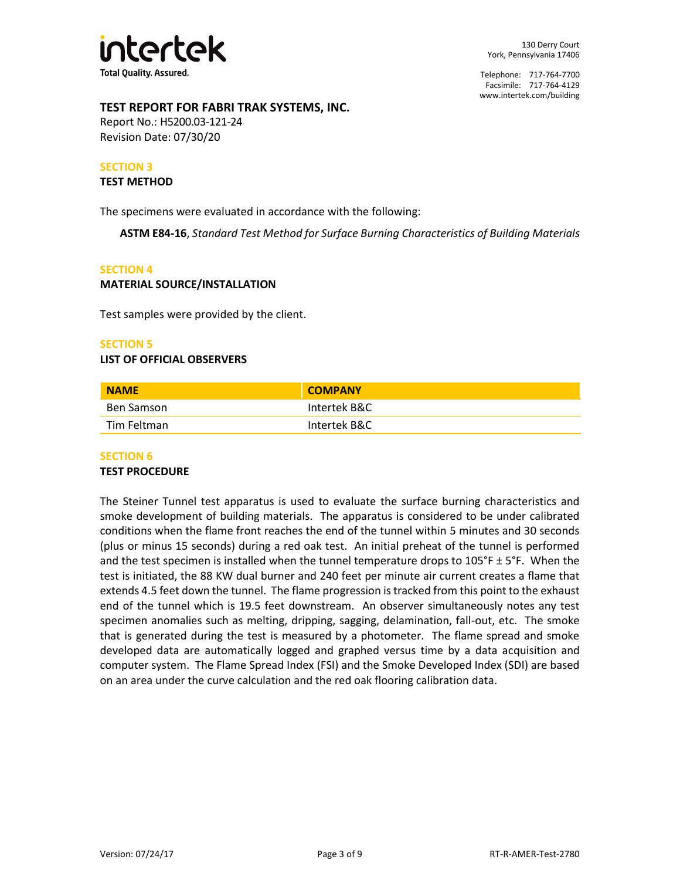

# **TEST REPORT FOR FABRI TRAK SYSTEMS, INC.**

Report No.: H5200.03-121-24 Revision Date: 07/30/20

#### **SECTION 3**

#### **TEST METHOD**

The specimens were evaluated in accordance with the following:

**ASTM E84-16**, *Standard Test Method for Surface Burning Characteristics of Building Materials*

#### **SECTION 4**

#### **MATERIAL SOURCE/INSTALLATION**

Test samples were provided by the client.

#### **SECTION 5**

#### **LIST OF OFFICIAL OBSERVERS**

| <b>NAME</b> | <b>COMPANY</b> |  |
|-------------|----------------|--|
| Ben Samson  | Intertek B&C   |  |
| Tim Feltman | Intertek B&C   |  |

# **SECTION 6**

#### **TEST PROCEDURE**

The Steiner Tunnel test apparatus is used to evaluate the surface burning characteristics and smoke development of building materials. The apparatus is considered to be under calibrated conditions when the flame front reaches the end of the tunnel within 5 minutes and 30 seconds (plus or minus 15 seconds) during a red oak test. An initial preheat of the tunnel is performed and the test specimen is installed when the tunnel temperature drops to  $105^\circ$ F ± 5°F. When the test is initiated, the 88 KW dual burner and 240 feet per minute air current creates a flame that extends 4.5 feet down the tunnel. The flame progression is tracked from this point to the exhaust end of the tunnel which is 19.5 feet downstream. An observer simultaneously notes any test specimen anomalies such as melting, dripping, sagging, delamination, fall-out, etc. The smoke that is generated during the test is measured by a photometer. The flame spread and smoke developed data are automatically logged and graphed versus time by a data acquisition and computer system. The Flame Spread Index (FSI) and the Smoke Developed Index (SDI) are based on an area under the curve calculation and the red oak flooring calibration data.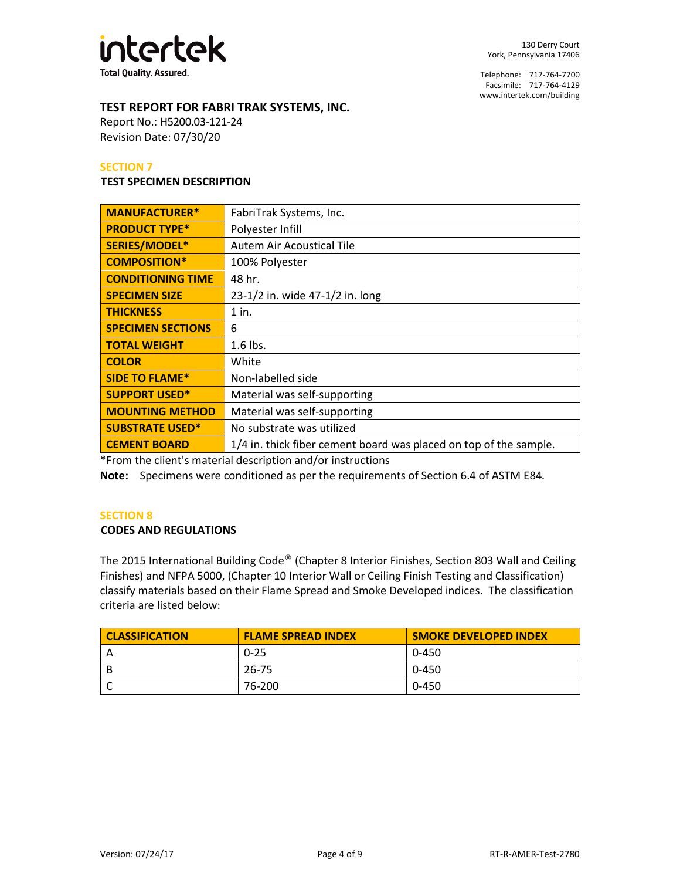

# **TEST REPORT FOR FABRI TRAK SYSTEMS, INC.**

Report No.: H5200.03-121-24 Revision Date: 07/30/20

#### **SECTION 7**

#### **TEST SPECIMEN DESCRIPTION**

| <b>MANUFACTURER*</b>     | FabriTrak Systems, Inc.                                           |  |
|--------------------------|-------------------------------------------------------------------|--|
| <b>PRODUCT TYPE*</b>     | Polyester Infill                                                  |  |
| SERIES/MODEL*            | <b>Autem Air Acoustical Tile</b>                                  |  |
| <b>COMPOSITION*</b>      | 100% Polyester                                                    |  |
| <b>CONDITIONING TIME</b> | 48 hr.                                                            |  |
| <b>SPECIMEN SIZE</b>     | 23-1/2 in. wide 47-1/2 in. long                                   |  |
| <b>THICKNESS</b>         | $1$ in.                                                           |  |
| <b>SPECIMEN SECTIONS</b> | 6                                                                 |  |
| <b>TOTAL WEIGHT</b>      | $1.6$ lbs.                                                        |  |
| <b>COLOR</b>             | White                                                             |  |
| <b>SIDE TO FLAME*</b>    | Non-labelled side                                                 |  |
| <b>SUPPORT USED*</b>     | Material was self-supporting                                      |  |
| <b>MOUNTING METHOD</b>   | Material was self-supporting                                      |  |
| <b>SUBSTRATE USED*</b>   | No substrate was utilized                                         |  |
| <b>CEMENT BOARD</b>      | 1/4 in. thick fiber cement board was placed on top of the sample. |  |

\*From the client's material description and/or instructions

**Note:** Specimens were conditioned as per the requirements of Section 6.4 of ASTM E84*.*

#### **SECTION 8**

#### **CODES AND REGULATIONS**

The 2015 International Building Code® (Chapter 8 Interior Finishes, Section 803 Wall and Ceiling Finishes) and NFPA 5000, (Chapter 10 Interior Wall or Ceiling Finish Testing and Classification) classify materials based on their Flame Spread and Smoke Developed indices. The classification criteria are listed below:

| <b>CLASSIFICATION</b> | <b>FLAME SPREAD INDEX</b> | <b>SMOKE DEVELOPED INDEX</b> |
|-----------------------|---------------------------|------------------------------|
|                       | $0 - 25$                  | 0-450                        |
|                       | 26-75                     | 0-450                        |
|                       | 76-200                    | 0-450                        |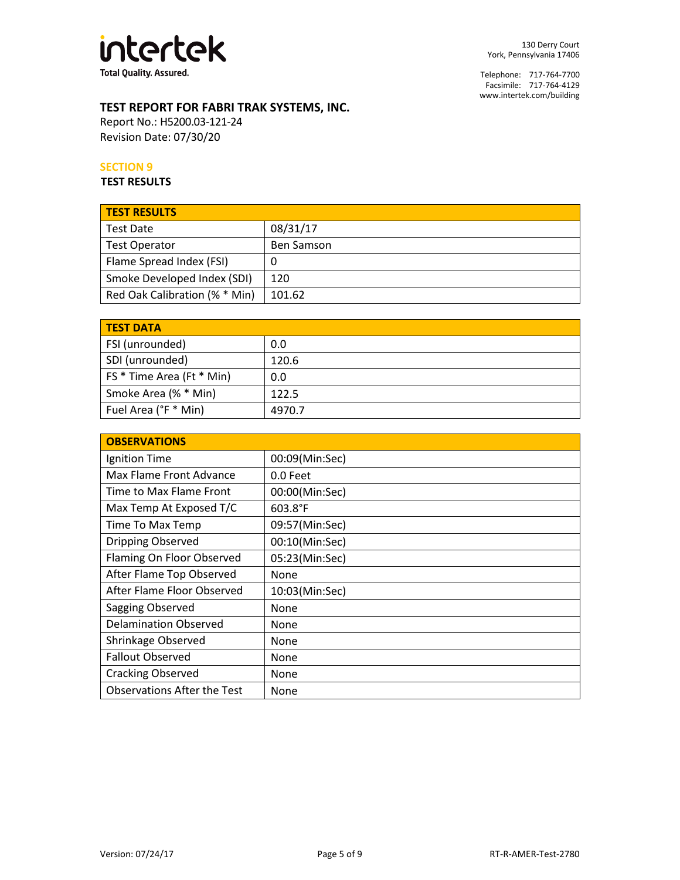

# **TEST REPORT FOR FABRI TRAK SYSTEMS, INC.**

Report No.: H5200.03-121-24 Revision Date: 07/30/20

# **SECTION 9**

**TEST RESULTS**

| <b>TEST RESULTS</b>           |                   |
|-------------------------------|-------------------|
| <b>Test Date</b>              | 08/31/17          |
| <b>Test Operator</b>          | <b>Ben Samson</b> |
| Flame Spread Index (FSI)      | U                 |
| Smoke Developed Index (SDI)   | 120               |
| Red Oak Calibration (% * Min) | 101.62            |

| <b>TEST DATA</b>          |        |
|---------------------------|--------|
| FSI (unrounded)           | 0.0    |
| SDI (unrounded)           | 120.6  |
| FS * Time Area (Ft * Min) | 0.0    |
| Smoke Area (% * Min)      | 122.5  |
| Fuel Area (°F * Min)      | 4970.7 |

| <b>OBSERVATIONS</b>                |                  |
|------------------------------------|------------------|
| Ignition Time                      | 00:09(Min:Sec)   |
| Max Flame Front Advance            | 0.0 Feet         |
| Time to Max Flame Front            | 00:00(Min:Sec)   |
| Max Temp At Exposed T/C            | $603.8^{\circ}F$ |
| Time To Max Temp                   | 09:57(Min:Sec)   |
| Dripping Observed                  | 00:10(Min:Sec)   |
| Flaming On Floor Observed          | 05:23(Min:Sec)   |
| After Flame Top Observed           | None             |
| After Flame Floor Observed         | 10:03(Min:Sec)   |
| Sagging Observed                   | None             |
| <b>Delamination Observed</b>       | None             |
| Shrinkage Observed                 | None             |
| <b>Fallout Observed</b>            | None             |
| <b>Cracking Observed</b>           | None             |
| <b>Observations After the Test</b> | None             |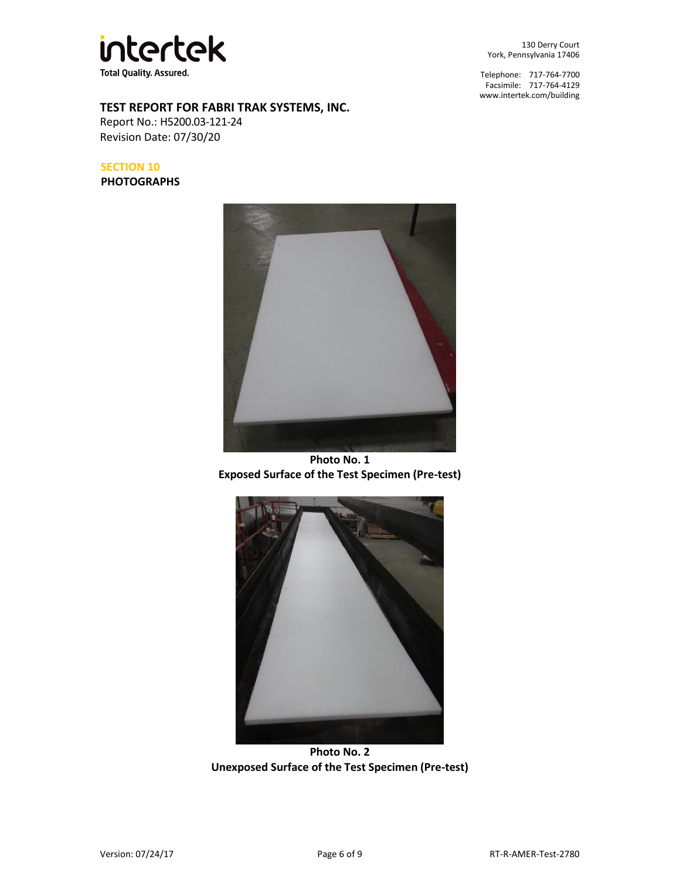

130 Derry Court York, Pennsylvania 17406

Telephone: 717-764-7700 Facsimile: 717-764-4129 [www.intertek.com/building](http://www.intertek.com/building)

# **TEST REPORT FOR FABRI TRAK SYSTEMS, INC.**

Report No.: H5200.03-121-24 Revision Date: 07/30/20

# **SECTION 10**

**PHOTOGRAPHS**



**Photo No. 1 Exposed Surface of the Test Specimen (Pre-test)**



**Photo No. 2 Unexposed Surface of the Test Specimen (Pre-test)**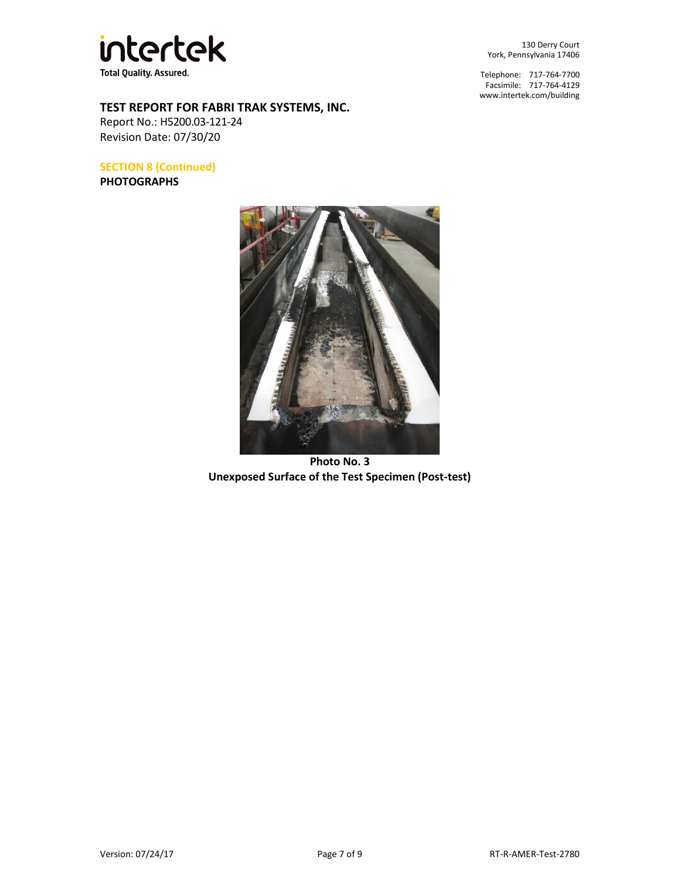

130 Derry Court York, Pennsylvania 17406

Telephone: 717-764-7700 Facsimile: 717-764-4129 [www.intertek.com/building](http://www.intertek.com/building)

# **TEST REPORT FOR FABRI TRAK SYSTEMS, INC.**

Report No.: H5200.03-121-24 Revision Date: 07/30/20

**SECTION 8 (Continued) PHOTOGRAPHS**



**Photo No. 3 Unexposed Surface of the Test Specimen (Post-test)**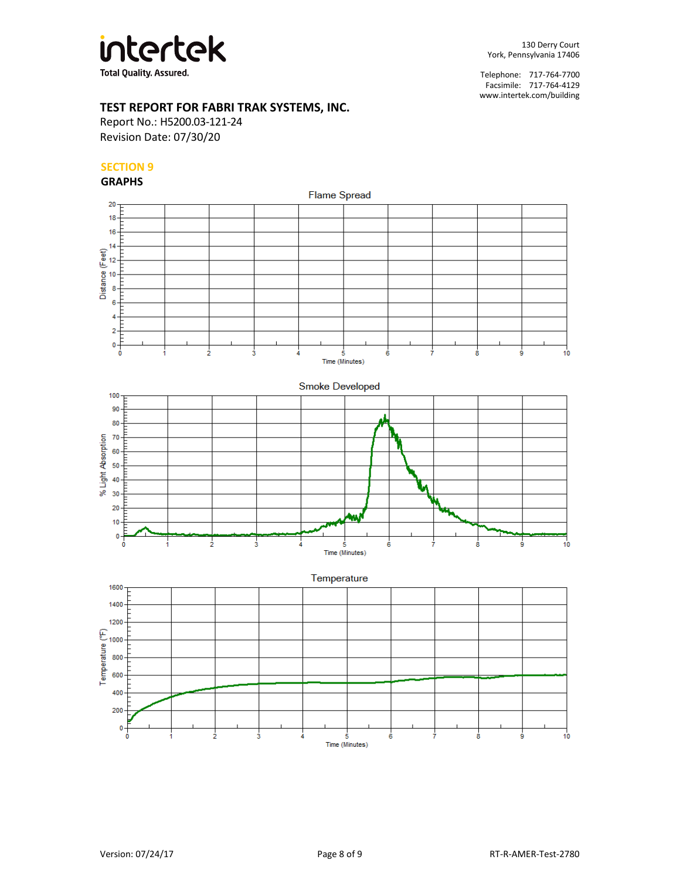

# **TEST REPORT FOR FABRI TRAK SYSTEMS, INC.**

Report No.: H5200.03-121-24 Revision Date: 07/30/20

# **SECTION 9**

#### **GRAPHS**